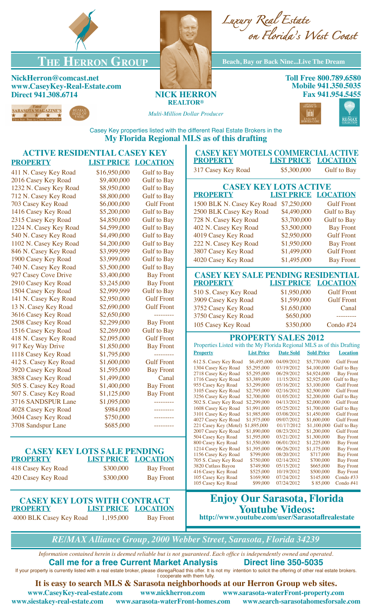

## **THE HERRON GROUP Beach, Bay or Back Nine...Live The Dream**

**NickHerron@comcast.net www.CaseyKey-Real-Estate.com Direct 941.308.6714 NICK HERRON**







**Toll Free 800.789.6580 Mobile 941.350.5035 Fax 941.954.5455**



*Multi-Million Dollar Producer*



Casey Key properties listed with the different Real Estate Brokers in the **My Florida Regional MLS as of this drafting**

| <b>ACTIVE RESIDENTIAL CASEY KEY</b>                                                                          |                            |                    | <b>CASEY KEY MOTELS COMMERCIAL ACTIVE</b>                                                                                                                                    |  |  |
|--------------------------------------------------------------------------------------------------------------|----------------------------|--------------------|------------------------------------------------------------------------------------------------------------------------------------------------------------------------------|--|--|
| <b>PROPERTY</b>                                                                                              | <b>LIST PRICE LOCATION</b> |                    | <b>LIST PRICE LOCATION</b><br><b>PROPERTY</b>                                                                                                                                |  |  |
| 411 N. Casey Key Road                                                                                        | \$16,950,000               | <b>Gulf</b> to Bay | 317 Casey Key Road<br>\$5,300,000<br><b>Gulf</b> to Bay                                                                                                                      |  |  |
| 2016 Casey Key Road                                                                                          | \$9,400,000                | <b>Gulf</b> to Bay |                                                                                                                                                                              |  |  |
| 1232 N. Casey Key Road                                                                                       | \$8,950,000                | <b>Gulf</b> to Bay | <b>CASEY KEY LOTS ACTIVE</b>                                                                                                                                                 |  |  |
| 712 N. Casey Key Road                                                                                        | \$8,800,000                | <b>Gulf</b> to Bay | <b>PROPERTY</b><br><b>LIST PRICE LOCATION</b>                                                                                                                                |  |  |
| 703 Casey Key Road                                                                                           | \$6,000,000                | <b>Gulf Front</b>  | 1500 BLK N. Casey Key Road<br>\$7,250,000<br><b>Gulf Front</b>                                                                                                               |  |  |
| 1416 Casey Key Road                                                                                          | \$5,200,000                | <b>Gulf</b> to Bay | 2500 BLK Casey Key Road<br>\$4,490,000<br><b>Gulf</b> to Bay                                                                                                                 |  |  |
| 2315 Casey Key Road                                                                                          | \$4,850,000                | <b>Gulf</b> to Bay | 728 N. Casey Key Road<br>\$3,700,000<br><b>Gulf</b> to Bay                                                                                                                   |  |  |
| 1224 N. Casey Key Road                                                                                       | \$4,599,000                | <b>Gulf</b> to Bay | \$3,500,000<br>402 N. Casey Key Road<br><b>Bay Front</b>                                                                                                                     |  |  |
| 540 N. Casey Key Road                                                                                        | \$4,490,000                | <b>Gulf</b> to Bay | <b>Gulf Front</b><br>4019 Casey Key Road<br>\$2,950,000                                                                                                                      |  |  |
| 1102 N. Casey Key Road                                                                                       | \$4,200,000                | <b>Gulf to Bay</b> | 222 N. Casey Key Road<br>\$1,950,000<br><b>Bay Front</b>                                                                                                                     |  |  |
| 846 N. Casey Key Road                                                                                        | \$3,999,999                | <b>Gulf</b> to Bay | \$1,499,000<br>3807 Casey Key Road<br><b>Gulf Front</b>                                                                                                                      |  |  |
| 1900 Casey Key Road                                                                                          | \$3,999,000                | <b>Gulf to Bay</b> | 4020 Casey Key Road<br>\$1,495,000<br><b>Bay Front</b>                                                                                                                       |  |  |
| 740 N. Casey Key Road                                                                                        | \$3,500,000                | <b>Gulf</b> to Bay |                                                                                                                                                                              |  |  |
| 927 Casey Cove Drive                                                                                         | \$3,400,000                | <b>Bay Front</b>   | <b>CASEY KEY SALE PENDING RESIDENTIAL</b>                                                                                                                                    |  |  |
| 2910 Casey Key Road                                                                                          | \$3,245,000                | <b>Bay Front</b>   | <b>LIST PRICE</b><br><b>LOCATION</b><br><b>PROPERTY</b>                                                                                                                      |  |  |
| 1504 Casey Key Road                                                                                          | \$2,999,999                | <b>Gulf</b> to Bay | \$1,950,000<br><b>Gulf Front</b><br>510 S. Casey Key Road                                                                                                                    |  |  |
| 141 N. Casey Key Road                                                                                        | \$2,950,000                | <b>Gulf Front</b>  | \$1,599,000<br>3909 Casey Key Road<br><b>Gulf Front</b>                                                                                                                      |  |  |
| 13 N. Casey Key Road                                                                                         | \$2,690,000                | <b>Gulf Front</b>  | \$1,650,000<br>3752 Casey Key Road<br>Canal                                                                                                                                  |  |  |
| 3616 Casey Key Road                                                                                          | \$2,650,000                |                    | \$650,000<br>3750 Casey Key Road<br>_________                                                                                                                                |  |  |
| 2508 Casey Key Road                                                                                          | \$2,299,000                | <b>Bay Front</b>   | \$350,000<br>Condo #24<br>105 Casey Key Road                                                                                                                                 |  |  |
| 1516 Casey Key Road                                                                                          | \$2,269,000                | <b>Gulf</b> to Bay |                                                                                                                                                                              |  |  |
| 418 N. Casey Key Road                                                                                        | \$2,095,000                | <b>Gulf Front</b>  | <b>PROPERTY SALES 2012</b>                                                                                                                                                   |  |  |
| 917 Key Way Drive                                                                                            | \$1,850,000                | <b>Bay Front</b>   | Properties Listed with the My Florida Regional MLS as of this Drafting                                                                                                       |  |  |
| 1118 Casey Key Road                                                                                          | \$1,795,000                | ---------          | <b>Property</b><br><b>List Price</b><br><b>Date Sold</b><br><b>Sold Price</b><br><b>Location</b>                                                                             |  |  |
| 412 S. Casey Key Road                                                                                        | \$1,600,000                | <b>Gulf Front</b>  | 04/09/2012<br>612 S. Casey Key Road<br>\$6,495,000<br>\$5,770,000<br><b>Gulf Front</b>                                                                                       |  |  |
| 3920 Casey Key Road                                                                                          | \$1,595,000                | <b>Bay Front</b>   | 1304 Casey Key Road<br>\$5,295,000<br>03/19/2012<br>\$4,100,000<br><b>Gulf</b> to Bay                                                                                        |  |  |
| 3858 Casey Key Road                                                                                          | \$1,499,000                | Canal              | 2718 Casey Key Road<br>\$5,295,000<br>06/29/2012<br>\$4,924,000<br><b>Bay Front</b><br>1716 Casey Key Road<br>\$3,389,000<br>11/15/2012<br>\$2,925,000<br><b>Gulf</b> to Bay |  |  |
| 505 S. Casey Key Road                                                                                        | \$1,400,000                | <b>Bay Front</b>   | 955 Casey Key Road<br>\$3,299,000<br>05/16/2012<br>\$3,100,000<br><b>Gulf Front</b>                                                                                          |  |  |
| 507 S. Casey Key Road                                                                                        | \$1,125,000                | <b>Bay Front</b>   | 3105 Casey Key Road<br>\$2,795,000<br>\$2,500,000<br>02/16/2012<br><b>Gulf Front</b><br>01/05/2012<br>\$2,200,000<br><b>Gulf</b> to Bay                                      |  |  |
| 3716 SANDSPUR Lane                                                                                           | \$1,095,000                |                    | 3256 Casey Key Road<br>\$2,700,000<br>502 S. Casey Key Road<br>\$2,299,000<br>04/13/2012<br>\$2,000,000<br><b>Gulf Front</b>                                                 |  |  |
| 4028 Casey Key Road                                                                                          | \$984,000                  | ---------          | 05/25/2012<br>\$1,700,000<br>1608 Casey Key Road<br>\$1,991,000<br><b>Gulf</b> to Bay                                                                                        |  |  |
| 3604 Casey Key Road                                                                                          | \$750,000                  |                    | 03/08/2012<br>3101 Casey Key Road<br>\$1,985,000<br>\$1,450,000<br><b>Gulf Front</b><br>4027 Casey Key Road<br>\$1,975,000<br>09/07/2012<br>\$1,600,000<br><b>Gulf Front</b> |  |  |
| 3708 Sandspur Lane                                                                                           | \$685,000                  | ---------          | 221 Casey Key (Motel) \$1,895,000<br>01/17/2012<br>\$1,100,000<br><b>Gulf</b> to Bay                                                                                         |  |  |
|                                                                                                              |                            |                    | 2007 Casey Key Road<br>\$1,890,000<br>08/23/2012<br>\$1,200,000<br><b>Gulf Front</b>                                                                                         |  |  |
|                                                                                                              |                            |                    | 504 Casey Key Road<br>03/21/2012<br>\$1,300,000<br>\$1,595,000<br><b>Bay Front</b><br>800 Casey Key Road<br>\$1,550,000<br>06/01/2012<br>\$1,225,000<br><b>Bay Front</b>     |  |  |
| <b>CASEY KEY LOTS SALE PENDING</b>                                                                           |                            |                    | 1214 Casey Key Road<br>\$1,395,000<br>06/26/2012<br>\$1,175,000<br><b>Bay Front</b>                                                                                          |  |  |
| <b>PROPERTY</b>                                                                                              | <b>LIST PRICE</b>          | <b>LOCATION</b>    | 1156 Casey Key Road<br>\$799,000<br>08/20/2012<br>\$717,000<br><b>Bay Front</b>                                                                                              |  |  |
|                                                                                                              |                            |                    | 705 S. Casey Key Road<br>\$750,000<br>02/14/2012<br>\$700,000<br><b>Bay Front</b><br>3820 Cutlass Bayou<br>\$749,900<br>05/15/2012<br>\$665,000<br><b>Bay Front</b>          |  |  |
| 418 Casey Key Road                                                                                           | \$300,000                  | <b>Bay Front</b>   | 416 Casey Key Road<br>10/19/2012<br>\$500,000<br>\$525,000<br><b>Bay Front</b>                                                                                               |  |  |
| 420 Casey Key Road                                                                                           | \$300,000                  | <b>Bay Front</b>   | 07/24/2012<br>105 Casey Key Road<br>\$169,900<br>\$145,000<br>Condo $#33$<br>105 Casey Key Road<br>07/24/2012<br>\$85,000<br>Condo #41<br>\$99,000                           |  |  |
| <b>CASEY KEY LOTS WITH CONTRACT</b>                                                                          |                            |                    | <b>Enjoy Our Sarasota, Florida</b>                                                                                                                                           |  |  |
| <b>PROPERTY</b>                                                                                              | <b>LIST PRICE</b>          | <b>LOCATION</b>    | <b>Youtube Videos:</b>                                                                                                                                                       |  |  |
| http://www.youtube.com/user/Sarasotafirealestate<br>1,195,000<br>4000 BLK Casey Key Road<br><b>Bay Front</b> |                            |                    |                                                                                                                                                                              |  |  |
|                                                                                                              |                            |                    |                                                                                                                                                                              |  |  |
|                                                                                                              |                            |                    | REIMAX Alliance Group 2000 Webber Street Sarasota Elorida 34239                                                                                                              |  |  |

*RE/MAX Alliance Group, 2000 Webber Street, Sarasota, Florida 34239*

*Information contained herein is deemed reliable but is not guaranteed. Each office is independently owned and operated.* **Call me for a free Current Market Analysis Direct line 350-5035**

If your property is currently listed with a real estate broker, please disregaRoad this offer. It is not my intention to solicit the offering of other real estate brokers. I cooperate with them fully.

www.siestakey-real-estate.com www.sarasota-waterFront-homes.com

**It is easy to search MLS & Sarasota neighborhoods at our Herron Group web sites. www.CaseyKey-real-estate.com www.nickherron.com www.sarasota-waterFront-property.com**